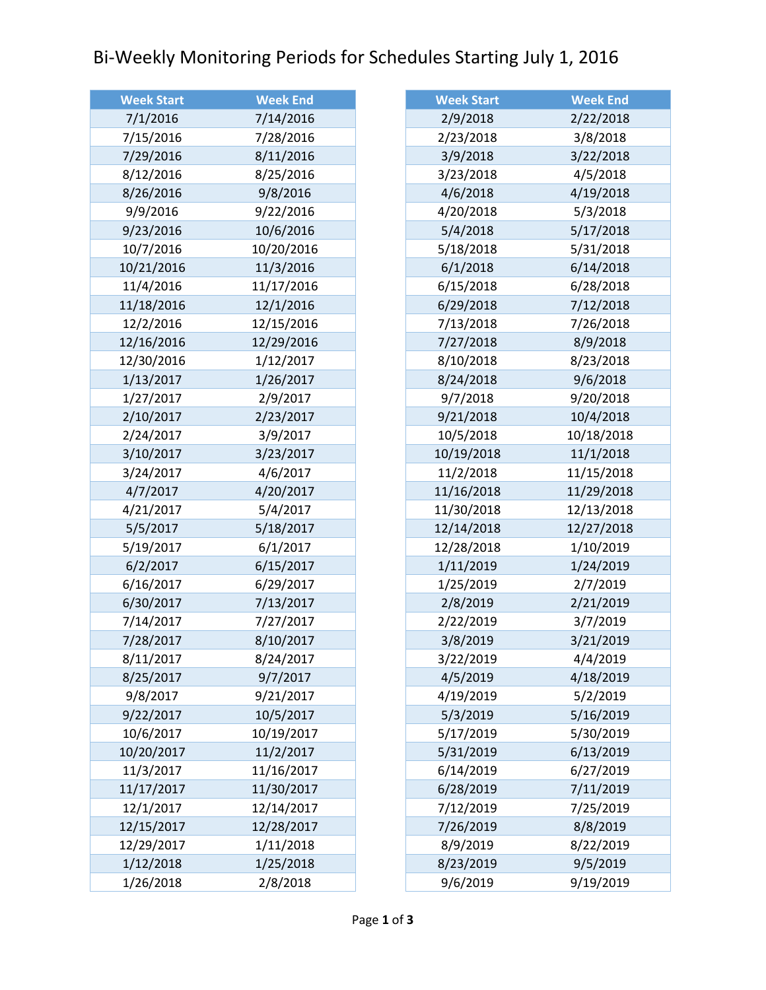## Bi-Weekly Monitoring Periods for Schedules Starting July 1, 2016

| <b>Week Start</b> | <b>Week End</b> |
|-------------------|-----------------|
| 7/1/2016          | 7/14/2016       |
| 7/15/2016         | 7/28/2016       |
| 7/29/2016         | 8/11/2016       |
| 8/12/2016         | 8/25/2016       |
| 8/26/2016         | 9/8/2016        |
| 9/9/2016          | 9/22/2016       |
| 9/23/2016         | 10/6/2016       |
| 10/7/2016         | 10/20/2016      |
| 10/21/2016        | 11/3/2016       |
| 11/4/2016         | 11/17/2016      |
| 11/18/2016        | 12/1/2016       |
| 12/2/2016         | 12/15/2016      |
| 12/16/2016        | 12/29/2016      |
| 12/30/2016        | 1/12/2017       |
| 1/13/2017         | 1/26/2017       |
| 1/27/2017         | 2/9/2017        |
| 2/10/2017         | 2/23/2017       |
| 2/24/2017         | 3/9/2017        |
| 3/10/2017         | 3/23/2017       |
| 3/24/2017         | 4/6/2017        |
| 4/7/2017          | 4/20/2017       |
| 4/21/2017         | 5/4/2017        |
| 5/5/2017          | 5/18/2017       |
| 5/19/2017         | 6/1/2017        |
| 6/2/2017          | 6/15/2017       |
| 6/16/2017         | 6/29/2017       |
| 6/30/2017         | 7/13/2017       |
| 7/14/2017         | 7/27/2017       |
| 7/28/2017         | 8/10/2017       |
| 8/11/2017         | 8/24/2017       |
| 8/25/2017         | 9/7/2017        |
| 9/8/2017          | 9/21/2017       |
| 9/22/2017         | 10/5/2017       |
| 10/6/2017         | 10/19/2017      |
| 10/20/2017        | 11/2/2017       |
| 11/3/2017         | 11/16/2017      |
| 11/17/2017        | 11/30/2017      |
| 12/1/2017         | 12/14/2017      |
| 12/15/2017        | 12/28/2017      |
| 12/29/2017        | 1/11/2018       |
| 1/12/2018         | 1/25/2018       |
| 1/26/2018         | 2/8/2018        |

| <b>Week Start</b> | <b>Week End</b> |
|-------------------|-----------------|
| 2/9/2018          | 2/22/2018       |
| 2/23/2018         | 3/8/2018        |
| 3/9/2018          | 3/22/2018       |
| 3/23/2018         | 4/5/2018        |
| 4/6/2018          | 4/19/2018       |
| 4/20/2018         | 5/3/2018        |
| 5/4/2018          | 5/17/2018       |
| 5/18/2018         | 5/31/2018       |
| 6/1/2018          | 6/14/2018       |
| 6/15/2018         | 6/28/2018       |
| 6/29/2018         | 7/12/2018       |
| 7/13/2018         | 7/26/2018       |
| 7/27/2018         | 8/9/2018        |
| 8/10/2018         | 8/23/2018       |
| 8/24/2018         | 9/6/2018        |
| 9/7/2018          | 9/20/2018       |
| 9/21/2018         | 10/4/2018       |
| 10/5/2018         | 10/18/2018      |
| 10/19/2018        | 11/1/2018       |
| 11/2/2018         | 11/15/2018      |
| 11/16/2018        | 11/29/2018      |
| 11/30/2018        | 12/13/2018      |
| 12/14/2018        | 12/27/2018      |
| 12/28/2018        | 1/10/2019       |
| 1/11/2019         | 1/24/2019       |
| 1/25/2019         | 2/7/2019        |
| 2/8/2019          | 2/21/2019       |
| 2/22/2019         | 3/7/2019        |
| 3/8/2019          | 3/21/2019       |
| 3/22/2019         | 4/4/2019        |
| 4/5/2019          | 4/18/2019       |
| 4/19/2019         | 5/2/2019        |
| 5/3/2019          | 5/16/2019       |
| 5/17/2019         | 5/30/2019       |
| 5/31/2019         | 6/13/2019       |
| 6/14/2019         | 6/27/2019       |
| 6/28/2019         | 7/11/2019       |
| 7/12/2019         | 7/25/2019       |
| 7/26/2019         | 8/8/2019        |
| 8/9/2019          | 8/22/2019       |
| 8/23/2019         | 9/5/2019        |
| 9/6/2019          | 9/19/2019       |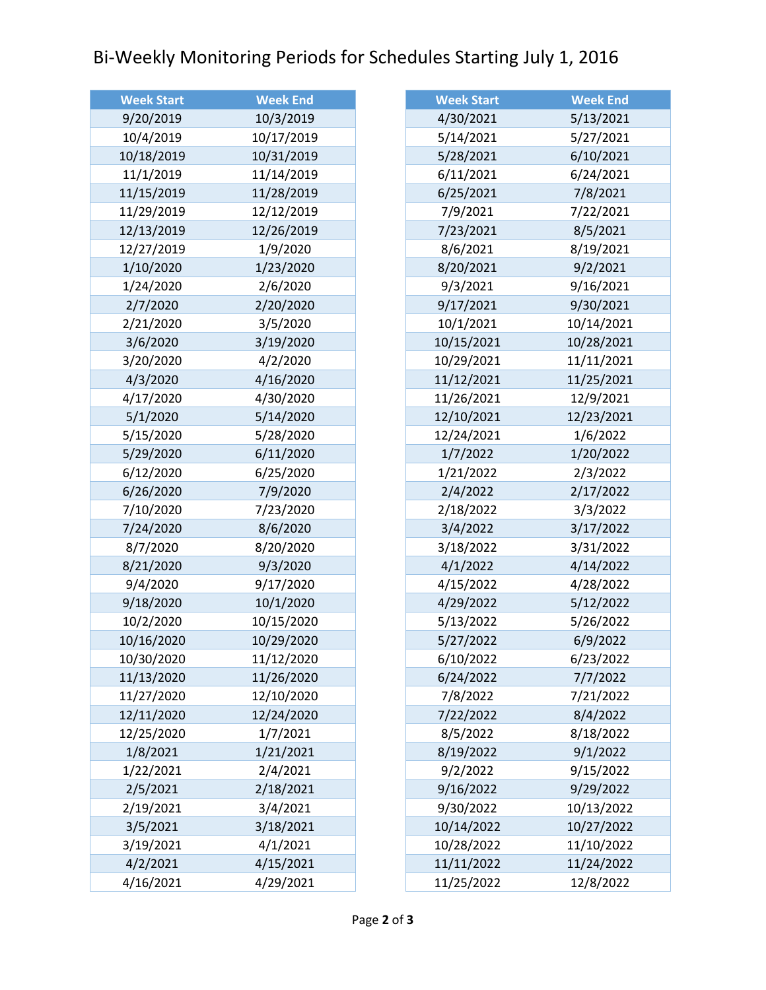## Bi-Weekly Monitoring Periods for Schedules Starting July 1, 2016

| <b>Week Start</b> | <b>Week End</b> |
|-------------------|-----------------|
| 9/20/2019         | 10/3/2019       |
| 10/4/2019         | 10/17/2019      |
| 10/18/2019        | 10/31/2019      |
| 11/1/2019         | 11/14/2019      |
| 11/15/2019        | 11/28/2019      |
| 11/29/2019        | 12/12/2019      |
| 12/13/2019        | 12/26/2019      |
| 12/27/2019        | 1/9/2020        |
| 1/10/2020         | 1/23/2020       |
| 1/24/2020         | 2/6/2020        |
| 2/7/2020          | 2/20/2020       |
| 2/21/2020         | 3/5/2020        |
| 3/6/2020          | 3/19/2020       |
| 3/20/2020         | 4/2/2020        |
| 4/3/2020          | 4/16/2020       |
| 4/17/2020         | 4/30/2020       |
| 5/1/2020          | 5/14/2020       |
| 5/15/2020         | 5/28/2020       |
| 5/29/2020         | 6/11/2020       |
| 6/12/2020         | 6/25/2020       |
| 6/26/2020         | 7/9/2020        |
| 7/10/2020         | 7/23/2020       |
| 7/24/2020         | 8/6/2020        |
| 8/7/2020          | 8/20/2020       |
| 8/21/2020         | 9/3/2020        |
| 9/4/2020          | 9/17/2020       |
| 9/18/2020         | 10/1/2020       |
| 10/2/2020         | 10/15/2020      |
| 10/16/2020        | 10/29/2020      |
| 10/30/2020        | 11/12/2020      |
| 11/13/2020        | 11/26/2020      |
| 11/27/2020        | 12/10/2020      |
| 12/11/2020        | 12/24/2020      |
| 12/25/2020        | 1/7/2021        |
| 1/8/2021          | 1/21/2021       |
| 1/22/2021         | 2/4/2021        |
| 2/5/2021          | 2/18/2021       |
| 2/19/2021         | 3/4/2021        |
| 3/5/2021          | 3/18/2021       |
| 3/19/2021         | 4/1/2021        |
| 4/2/2021          | 4/15/2021       |
| 4/16/2021         | 4/29/2021       |

| <b>Week Start</b> | <b>Week End</b> |
|-------------------|-----------------|
| 4/30/2021         | 5/13/2021       |
| 5/14/2021         | 5/27/2021       |
| 5/28/2021         | 6/10/2021       |
| 6/11/2021         | 6/24/2021       |
| 6/25/2021         | 7/8/2021        |
| 7/9/2021          | 7/22/2021       |
| 7/23/2021         | 8/5/2021        |
| 8/6/2021          | 8/19/2021       |
| 8/20/2021         | 9/2/2021        |
| 9/3/2021          | 9/16/2021       |
| 9/17/2021         | 9/30/2021       |
| 10/1/2021         | 10/14/2021      |
| 10/15/2021        | 10/28/2021      |
| 10/29/2021        | 11/11/2021      |
| 11/12/2021        | 11/25/2021      |
| 11/26/2021        | 12/9/2021       |
| 12/10/2021        | 12/23/2021      |
| 12/24/2021        | 1/6/2022        |
| 1/7/2022          | 1/20/2022       |
| 1/21/2022         | 2/3/2022        |
| 2/4/2022          | 2/17/2022       |
| 2/18/2022         | 3/3/2022        |
| 3/4/2022          | 3/17/2022       |
| 3/18/2022         | 3/31/2022       |
| 4/1/2022          | 4/14/2022       |
| 4/15/2022         | 4/28/2022       |
| 4/29/2022         | 5/12/2022       |
| 5/13/2022         | 5/26/2022       |
| 5/27/2022         | 6/9/2022        |
| 6/10/2022         | 6/23/2022       |
| 6/24/2022         | 7/7/2022        |
| 7/8/2022          | 7/21/2022       |
| 7/22/2022         | 8/4/2022        |
| 8/5/2022          | 8/18/2022       |
| 8/19/2022         | 9/1/2022        |
| 9/2/2022          | 9/15/2022       |
| 9/16/2022         | 9/29/2022       |
| 9/30/2022         | 10/13/2022      |
| 10/14/2022        | 10/27/2022      |
| 10/28/2022        | 11/10/2022      |
| 11/11/2022        | 11/24/2022      |
| 11/25/2022        | 12/8/2022       |